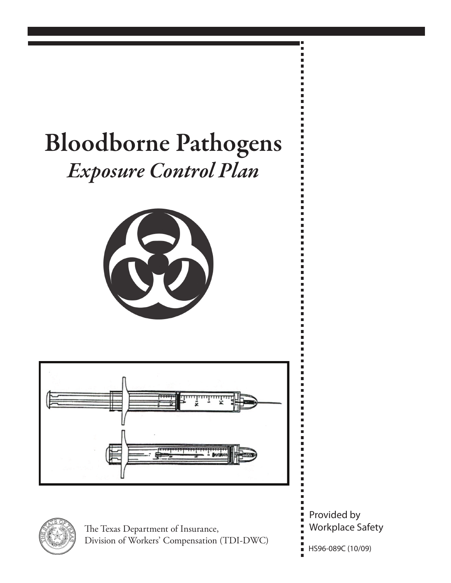## Bloodborne Pathogens *Exposure Control Plan*







The Texas Department of Insurance, Division of Workers' Compensation (TDI-DWC) Provided by Workplace Safety

HS96-089C (10/09)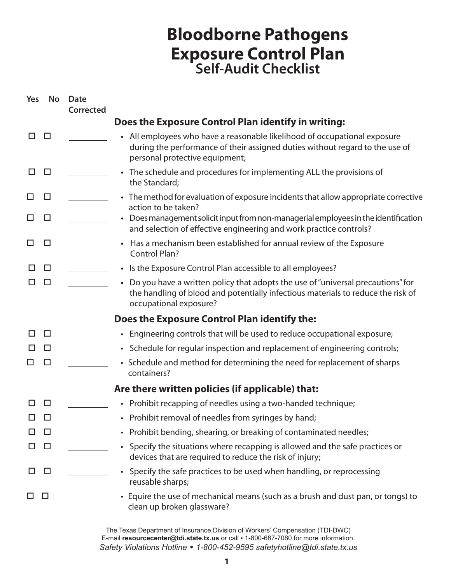## **Bloodborne Pathogens Exposure Control Plan Self-Audit Checklist**

| Yes          | <b>No</b>    | Date<br>Corrected |                                                                                                                                                                                               |
|--------------|--------------|-------------------|-----------------------------------------------------------------------------------------------------------------------------------------------------------------------------------------------|
|              |              |                   | Does the Exposure Control Plan identify in writing:                                                                                                                                           |
| П            | □            |                   | • All employees who have a reasonable likelihood of occupational exposure<br>during the performance of their assigned duties without regard to the use of<br>personal protective equipment;   |
| П            | □            |                   | • The schedule and procedures for implementing ALL the provisions of<br>the Standard;                                                                                                         |
| ப            | □            |                   | • The method for evaluation of exposure incidents that allow appropriate corrective<br>action to be taken?                                                                                    |
| ⊔            | $\Box$       |                   | Does management solicit input from non-managerial employees in the identification<br>and selection of effective engineering and work practice controls?                                       |
| H            | □            |                   | Has a mechanism been established for annual review of the Exposure<br><b>Control Plan?</b>                                                                                                    |
| ΙI           | ⊔            |                   | Is the Exposure Control Plan accessible to all employees?                                                                                                                                     |
| ΙI           | □            |                   | Do you have a written policy that adopts the use of "universal precautions" for<br>the handling of blood and potentially infectious materials to reduce the risk of<br>occupational exposure? |
|              |              |                   | Does the Exposure Control Plan identify the:                                                                                                                                                  |
| ΙI           | $\Box$       |                   | • Engineering controls that will be used to reduce occupational exposure;                                                                                                                     |
| □            | $\Box$       |                   | • Schedule for regular inspection and replacement of engineering controls;                                                                                                                    |
|              | $\Box$       |                   | • Schedule and method for determining the need for replacement of sharps<br>containers?                                                                                                       |
|              |              |                   | Are there written policies (if applicable) that:                                                                                                                                              |
|              | $\mathbf{L}$ |                   | • Prohibit recapping of needles using a two-handed technique;                                                                                                                                 |
|              |              |                   | • Prohibit removal of needles from syringes by hand;                                                                                                                                          |
| ΙI           | □            |                   | • Prohibit bending, shearing, or breaking of contaminated needles;                                                                                                                            |
| ப            | $\Box$       |                   | • Specify the situations where recapping is allowed and the safe practices or<br>devices that are required to reduce the risk of injury;                                                      |
| $\mathsf{L}$ | $\Box$       |                   | Specify the safe practices to be used when handling, or reprocessing<br>reusable sharps;                                                                                                      |
|              | $\Box$       |                   | Equire the use of mechanical means (such as a brush and dust pan, or tongs) to<br>clean up broken glassware?                                                                                  |

The Texas Department of Insurance,Division of Workers' Compensation (TDI-DWC) E-mail **resourcecenter@tdi.state.tx.us** or call • 1-800-687-7080 for more information. *Safety Violations Hotline • 1-800-452-9595 safetyhotline@tdi.state.tx.us*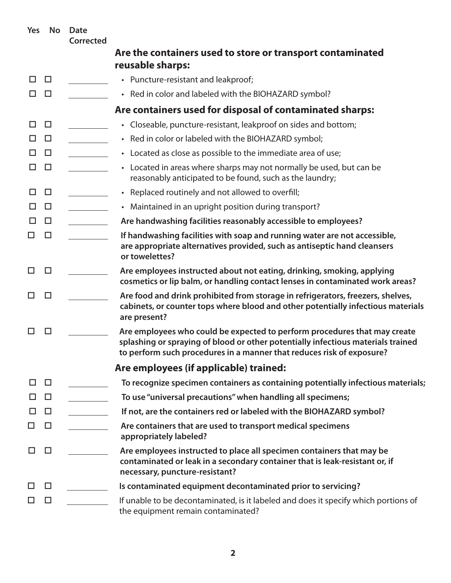| Yes | <b>No</b> | Date<br><b>Corrected</b> |                                                                                                                                                                                                                                        |
|-----|-----------|--------------------------|----------------------------------------------------------------------------------------------------------------------------------------------------------------------------------------------------------------------------------------|
|     |           |                          | Are the containers used to store or transport contaminated                                                                                                                                                                             |
|     |           |                          | reusable sharps:                                                                                                                                                                                                                       |
| □   | $\Box$    |                          | • Puncture-resistant and leakproof;                                                                                                                                                                                                    |
| ΙI  | □         |                          | • Red in color and labeled with the BIOHAZARD symbol?                                                                                                                                                                                  |
|     |           |                          | Are containers used for disposal of contaminated sharps:                                                                                                                                                                               |
| □   | $\Box$    |                          | • Closeable, puncture-resistant, leakproof on sides and bottom;                                                                                                                                                                        |
| П   | □         |                          | • Red in color or labeled with the BIOHAZARD symbol;                                                                                                                                                                                   |
| П   | $\Box$    |                          | • Located as close as possible to the immediate area of use;                                                                                                                                                                           |
| □   | $\Box$    |                          | • Located in areas where sharps may not normally be used, but can be<br>reasonably anticipated to be found, such as the laundry;                                                                                                       |
| □   | □         |                          | • Replaced routinely and not allowed to overfill;                                                                                                                                                                                      |
| П   | □         |                          | • Maintained in an upright position during transport?                                                                                                                                                                                  |
| ⊔   | $\Box$    |                          | Are handwashing facilities reasonably accessible to employees?                                                                                                                                                                         |
| ΙI  | □         |                          | If handwashing facilities with soap and running water are not accessible,<br>are appropriate alternatives provided, such as antiseptic hand cleansers<br>or towelettes?                                                                |
| □   | □         |                          | Are employees instructed about not eating, drinking, smoking, applying<br>cosmetics or lip balm, or handling contact lenses in contaminated work areas?                                                                                |
| П   | □         |                          | Are food and drink prohibited from storage in refrigerators, freezers, shelves,<br>cabinets, or counter tops where blood and other potentially infectious materials<br>are present?                                                    |
|     | □         |                          | Are employees who could be expected to perform procedures that may create<br>splashing or spraying of blood or other potentially infectious materials trained<br>to perform such procedures in a manner that reduces risk of exposure? |
|     |           |                          | Are employees (if applicable) trained:                                                                                                                                                                                                 |
| □   | $\Box$    |                          | To recognize specimen containers as containing potentially infectious materials;                                                                                                                                                       |
| H   | $\Box$    |                          | To use "universal precautions" when handling all specimens;                                                                                                                                                                            |
|     | $\Box$    |                          | If not, are the containers red or labeled with the BIOHAZARD symbol?                                                                                                                                                                   |
| ΙI  | $\Box$    |                          | Are containers that are used to transport medical specimens<br>appropriately labeled?                                                                                                                                                  |
| ΙI  | □         |                          | Are employees instructed to place all specimen containers that may be<br>contaminated or leak in a secondary container that is leak-resistant or, if<br>necessary, puncture-resistant?                                                 |
|     | □         |                          | Is contaminated equipment decontaminated prior to servicing?                                                                                                                                                                           |
|     | $\Box$    |                          | If unable to be decontaminated, is it labeled and does it specify which portions of<br>the equipment remain contaminated?                                                                                                              |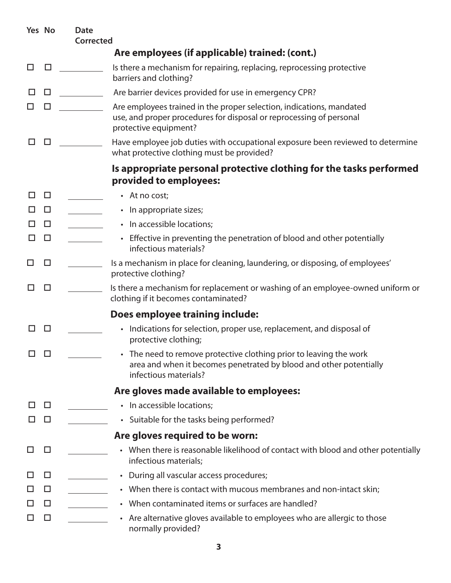|              | Yes No | <b>Date</b><br><b>Corrected</b> |                                                                                                                                                                      |
|--------------|--------|---------------------------------|----------------------------------------------------------------------------------------------------------------------------------------------------------------------|
|              |        |                                 | Are employees (if applicable) trained: (cont.)                                                                                                                       |
| ⊔            | □      |                                 | Is there a mechanism for repairing, replacing, reprocessing protective<br>barriers and clothing?                                                                     |
| ⊔            | $\Box$ |                                 | Are barrier devices provided for use in emergency CPR?                                                                                                               |
| ⊔            | $\Box$ |                                 | Are employees trained in the proper selection, indications, mandated<br>use, and proper procedures for disposal or reprocessing of personal<br>protective equipment? |
| ΙI           | □      |                                 | Have employee job duties with occupational exposure been reviewed to determine<br>what protective clothing must be provided?                                         |
|              |        |                                 | Is appropriate personal protective clothing for the tasks performed<br>provided to employees:                                                                        |
| ΙI           | $\Box$ |                                 | • At no cost;                                                                                                                                                        |
| ΙI           | □      |                                 | • In appropriate sizes;                                                                                                                                              |
| H            | $\Box$ |                                 | • In accessible locations;                                                                                                                                           |
| □            | $\Box$ |                                 | • Effective in preventing the penetration of blood and other potentially<br>infectious materials?                                                                    |
| ப            | □      |                                 | Is a mechanism in place for cleaning, laundering, or disposing, of employees'<br>protective clothing?                                                                |
|              | □      |                                 | Is there a mechanism for replacement or washing of an employee-owned uniform or<br>clothing if it becomes contaminated?                                              |
|              |        |                                 | Does employee training include:                                                                                                                                      |
| ப            | ப      |                                 | Indications for selection, proper use, replacement, and disposal of<br>$\bullet$<br>protective clothing;                                                             |
| ப            | ⊔      |                                 | • The need to remove protective clothing prior to leaving the work<br>area and when it becomes penetrated by blood and other potentially<br>infectious materials?    |
|              |        |                                 | Are gloves made available to employees:                                                                                                                              |
| $\mathsf{L}$ | $\Box$ |                                 | • In accessible locations;                                                                                                                                           |
| ΙI           | $\Box$ |                                 | • Suitable for the tasks being performed?                                                                                                                            |
|              |        |                                 | Are gloves required to be worn:                                                                                                                                      |
| ⊔            | □      |                                 | • When there is reasonable likelihood of contact with blood and other potentially<br>infectious materials;                                                           |
| ப            | $\Box$ |                                 | • During all vascular access procedures;                                                                                                                             |
| ப            | $\Box$ |                                 | • When there is contact with mucous membranes and non-intact skin;                                                                                                   |
| □            | $\Box$ |                                 | • When contaminated items or surfaces are handled?                                                                                                                   |
| ப            | $\Box$ |                                 | • Are alternative gloves available to employees who are allergic to those<br>normally provided?                                                                      |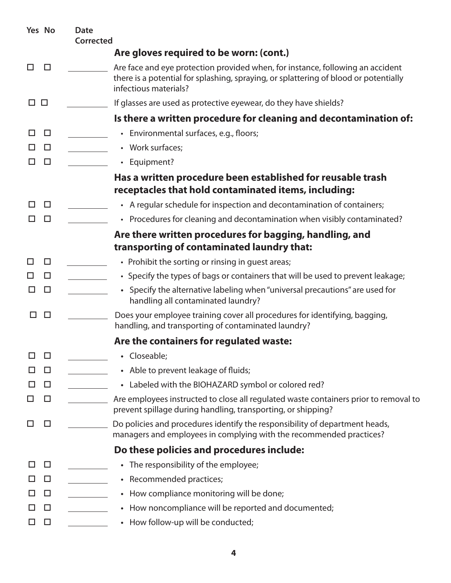|               | Yes No | <b>Date</b><br><b>Corrected</b> |                                                                                                                                                                                                 |
|---------------|--------|---------------------------------|-------------------------------------------------------------------------------------------------------------------------------------------------------------------------------------------------|
|               |        |                                 | Are gloves required to be worn: (cont.)                                                                                                                                                         |
| ⊔             | □      |                                 | Are face and eye protection provided when, for instance, following an accident<br>there is a potential for splashing, spraying, or splattering of blood or potentially<br>infectious materials? |
| $\Box$ $\Box$ |        |                                 | If glasses are used as protective eyewear, do they have shields?                                                                                                                                |
|               |        |                                 | Is there a written procedure for cleaning and decontamination of:                                                                                                                               |
| □             | $\Box$ |                                 | • Environmental surfaces, e.g., floors;                                                                                                                                                         |
| ΙI            | $\Box$ |                                 | • Work surfaces;                                                                                                                                                                                |
| П             | $\Box$ |                                 | • Equipment?                                                                                                                                                                                    |
|               |        |                                 | Has a written procedure been established for reusable trash<br>receptacles that hold contaminated items, including:                                                                             |
| П             | $\Box$ |                                 | • A regular schedule for inspection and decontamination of containers;                                                                                                                          |
| □             | $\Box$ |                                 | • Procedures for cleaning and decontamination when visibly contaminated?                                                                                                                        |
|               |        |                                 | Are there written procedures for bagging, handling, and<br>transporting of contaminated laundry that:                                                                                           |
| ⊔             | □      |                                 | • Prohibit the sorting or rinsing in guest areas;                                                                                                                                               |
| H             | □      |                                 | • Specify the types of bags or containers that will be used to prevent leakage;                                                                                                                 |
| H             | □      |                                 | • Specify the alternative labeling when "universal precautions" are used for<br>handling all contaminated laundry?                                                                              |
|               | □      |                                 | Does your employee training cover all procedures for identifying, bagging,<br>handling, and transporting of contaminated laundry?                                                               |
|               |        |                                 | Are the containers for regulated waste:                                                                                                                                                         |
| □             | $\Box$ |                                 | • Closeable;                                                                                                                                                                                    |
| ப             | $\Box$ |                                 | • Able to prevent leakage of fluids;                                                                                                                                                            |
| □             | $\Box$ |                                 | • Labeled with the BIOHAZARD symbol or colored red?                                                                                                                                             |
| ப             | $\Box$ |                                 | Are employees instructed to close all regulated waste containers prior to removal to<br>prevent spillage during handling, transporting, or shipping?                                            |
| H             | $\Box$ |                                 | Do policies and procedures identify the responsibility of department heads,<br>managers and employees in complying with the recommended practices?                                              |
|               |        |                                 | Do these policies and procedures include:                                                                                                                                                       |
| □             | $\Box$ |                                 | • The responsibility of the employee;                                                                                                                                                           |
| ΙI            | $\Box$ |                                 | • Recommended practices;                                                                                                                                                                        |
| ப             | $\Box$ |                                 | • How compliance monitoring will be done;                                                                                                                                                       |
| ΙI            | $\Box$ |                                 | • How noncompliance will be reported and documented;                                                                                                                                            |
| ⊔             | $\Box$ |                                 | • How follow-up will be conducted;                                                                                                                                                              |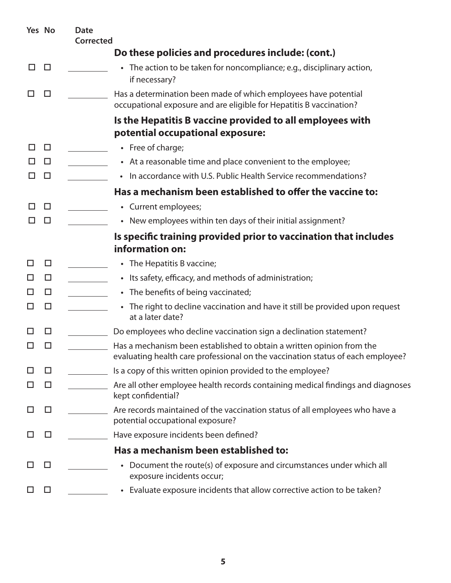|    | Yes No | <b>Date</b><br>Corrected |                                                                                                                                                          |
|----|--------|--------------------------|----------------------------------------------------------------------------------------------------------------------------------------------------------|
|    |        |                          | Do these policies and procedures include: (cont.)                                                                                                        |
| ΙI | □      |                          | • The action to be taken for noncompliance; e.g., disciplinary action,<br>if necessary?                                                                  |
|    | □      |                          | Has a determination been made of which employees have potential<br>occupational exposure and are eligible for Hepatitis B vaccination?                   |
|    |        |                          | Is the Hepatitis B vaccine provided to all employees with<br>potential occupational exposure:                                                            |
|    | □      |                          | • Free of charge;                                                                                                                                        |
|    | $\Box$ |                          | • At a reasonable time and place convenient to the employee;                                                                                             |
| H  | $\Box$ |                          | • In accordance with U.S. Public Health Service recommendations?                                                                                         |
|    |        |                          | Has a mechanism been established to offer the vaccine to:                                                                                                |
| ΙI | □      |                          | • Current employees;                                                                                                                                     |
| ΙI | □      |                          | • New employees within ten days of their initial assignment?                                                                                             |
|    |        |                          | Is specific training provided prior to vaccination that includes<br>information on:                                                                      |
| ΙI | □      |                          | • The Hepatitis B vaccine;                                                                                                                               |
| ΙI | □      |                          | • Its safety, efficacy, and methods of administration;                                                                                                   |
| H  | $\Box$ |                          | • The benefits of being vaccinated;                                                                                                                      |
| ΙI | □      |                          | • The right to decline vaccination and have it still be provided upon request<br>at a later date?                                                        |
|    | □      |                          | Do employees who decline vaccination sign a declination statement?                                                                                       |
|    | ப      |                          | Has a mechanism been established to obtain a written opinion from the<br>evaluating health care professional on the vaccination status of each employee? |
|    | ப      |                          | Is a copy of this written opinion provided to the employee?                                                                                              |
|    | □      |                          | Are all other employee health records containing medical findings and diagnoses<br>kept confidential?                                                    |
|    | □      |                          | Are records maintained of the vaccination status of all employees who have a<br>potential occupational exposure?                                         |
|    | ப      |                          | Have exposure incidents been defined?                                                                                                                    |
|    |        |                          | Has a mechanism been established to:                                                                                                                     |
|    | ப      |                          | Document the route(s) of exposure and circumstances under which all<br>exposure incidents occur;                                                         |
|    | ப      |                          | • Evaluate exposure incidents that allow corrective action to be taken?                                                                                  |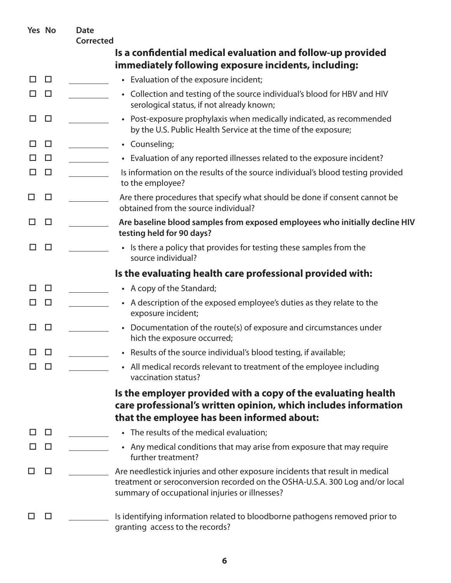|              | Yes No | <b>Date</b><br><b>Corrected</b> |                                                                                                                                                                                                                |
|--------------|--------|---------------------------------|----------------------------------------------------------------------------------------------------------------------------------------------------------------------------------------------------------------|
|              |        |                                 | Is a confidential medical evaluation and follow-up provided<br>immediately following exposure incidents, including:                                                                                            |
| ◻            | $\Box$ |                                 | • Evaluation of the exposure incident;                                                                                                                                                                         |
| ப            | $\Box$ |                                 | • Collection and testing of the source individual's blood for HBV and HIV<br>serological status, if not already known;                                                                                         |
| □            | □      |                                 | Post-exposure prophylaxis when medically indicated, as recommended<br>by the U.S. Public Health Service at the time of the exposure;                                                                           |
| ப            | □      |                                 | • Counseling;                                                                                                                                                                                                  |
| ப            | $\Box$ |                                 | • Evaluation of any reported illnesses related to the exposure incident?                                                                                                                                       |
| ப            | $\Box$ |                                 | Is information on the results of the source individual's blood testing provided<br>to the employee?                                                                                                            |
| $\mathsf{L}$ | □      |                                 | Are there procedures that specify what should be done if consent cannot be<br>obtained from the source individual?                                                                                             |
| ப            | □      |                                 | Are baseline blood samples from exposed employees who initially decline HIV<br>testing held for 90 days?                                                                                                       |
| □            | □      |                                 | • Is there a policy that provides for testing these samples from the<br>source individual?                                                                                                                     |
|              |        |                                 | Is the evaluating health care professional provided with:                                                                                                                                                      |
| l I          | $\Box$ |                                 | • A copy of the Standard;                                                                                                                                                                                      |
| ப            | □      |                                 | • A description of the exposed employee's duties as they relate to the<br>exposure incident;                                                                                                                   |
| □            | □      |                                 | Documentation of the route(s) of exposure and circumstances under<br>$\bullet$<br>hich the exposure occurred;                                                                                                  |
| □□           |        |                                 | Results of the source individual's blood testing, if available;                                                                                                                                                |
|              | H      |                                 | • All medical records relevant to treatment of the employee including<br>vaccination status?                                                                                                                   |
|              |        |                                 | Is the employer provided with a copy of the evaluating health<br>care professional's written opinion, which includes information<br>that the employee has been informed about:                                 |
|              | ப      |                                 | • The results of the medical evaluation;                                                                                                                                                                       |
|              | □      |                                 | • Any medical conditions that may arise from exposure that may require<br>further treatment?                                                                                                                   |
|              | □      |                                 | Are needlestick injuries and other exposure incidents that result in medical<br>treatment or seroconversion recorded on the OSHA-U.S.A. 300 Log and/or local<br>summary of occupational injuries or illnesses? |
|              | ΙI     |                                 | Is identifying information related to bloodborne pathogens removed prior to<br>granting access to the records?                                                                                                 |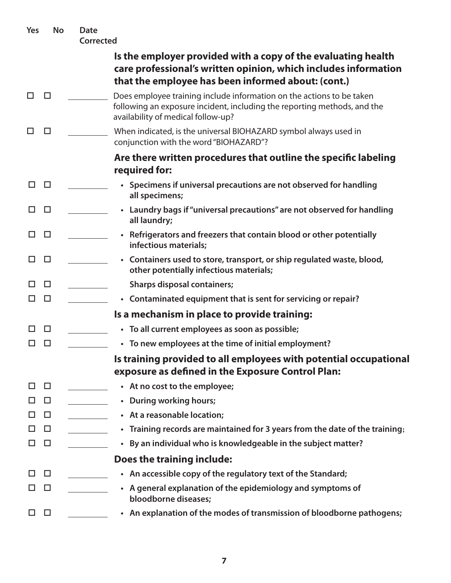| Yes | <b>No</b> | <b>Date</b><br>Corrected |                                                                                                                                                                                         |
|-----|-----------|--------------------------|-----------------------------------------------------------------------------------------------------------------------------------------------------------------------------------------|
|     |           |                          | Is the employer provided with a copy of the evaluating health<br>care professional's written opinion, which includes information<br>that the employee has been informed about: (cont.)  |
| П   | □         |                          | Does employee training include information on the actions to be taken<br>following an exposure incident, including the reporting methods, and the<br>availability of medical follow-up? |
| LΙ  | □         |                          | When indicated, is the universal BIOHAZARD symbol always used in<br>conjunction with the word "BIOHAZARD"?                                                                              |
|     |           |                          | Are there written procedures that outline the specific labeling<br>required for:                                                                                                        |
| П   | $\Box$    |                          | • Specimens if universal precautions are not observed for handling<br>all specimens;                                                                                                    |
| П   | □         |                          | • Laundry bags if "universal precautions" are not observed for handling<br>all laundry;                                                                                                 |
| П   | $\Box$    |                          | • Refrigerators and freezers that contain blood or other potentially<br>infectious materials;                                                                                           |
| ΙI  | □         |                          | • Containers used to store, transport, or ship regulated waste, blood,<br>other potentially infectious materials;                                                                       |
| П   | □         |                          | <b>Sharps disposal containers;</b>                                                                                                                                                      |
| ΙI  | $\Box$    |                          | • Contaminated equipment that is sent for servicing or repair?                                                                                                                          |
|     |           |                          | Is a mechanism in place to provide training:                                                                                                                                            |
| ΙI  | □         |                          | • To all current employees as soon as possible;                                                                                                                                         |
|     | □         |                          | • To new employees at the time of initial employment?                                                                                                                                   |
|     |           |                          | Is training provided to all employees with potential occupational<br>exposure as defined in the Exposure Control Plan:                                                                  |
| □   | $\Box$    |                          | • At no cost to the employee;                                                                                                                                                           |
| ப   | $\Box$    |                          | • During working hours;                                                                                                                                                                 |
| ப   | $\Box$    |                          | • At a reasonable location;                                                                                                                                                             |
| □   | $\Box$    |                          | • Training records are maintained for 3 years from the date of the training;                                                                                                            |
| ப   | $\Box$    |                          | • By an individual who is knowledgeable in the subject matter?                                                                                                                          |
|     |           |                          | Does the training include:                                                                                                                                                              |
| П   | $\Box$    |                          | • An accessible copy of the regulatory text of the Standard;                                                                                                                            |
| ΙI  | $\Box$    |                          | • A general explanation of the epidemiology and symptoms of<br>bloodborne diseases;                                                                                                     |
| □   | $\Box$    |                          | • An explanation of the modes of transmission of bloodborne pathogens;                                                                                                                  |